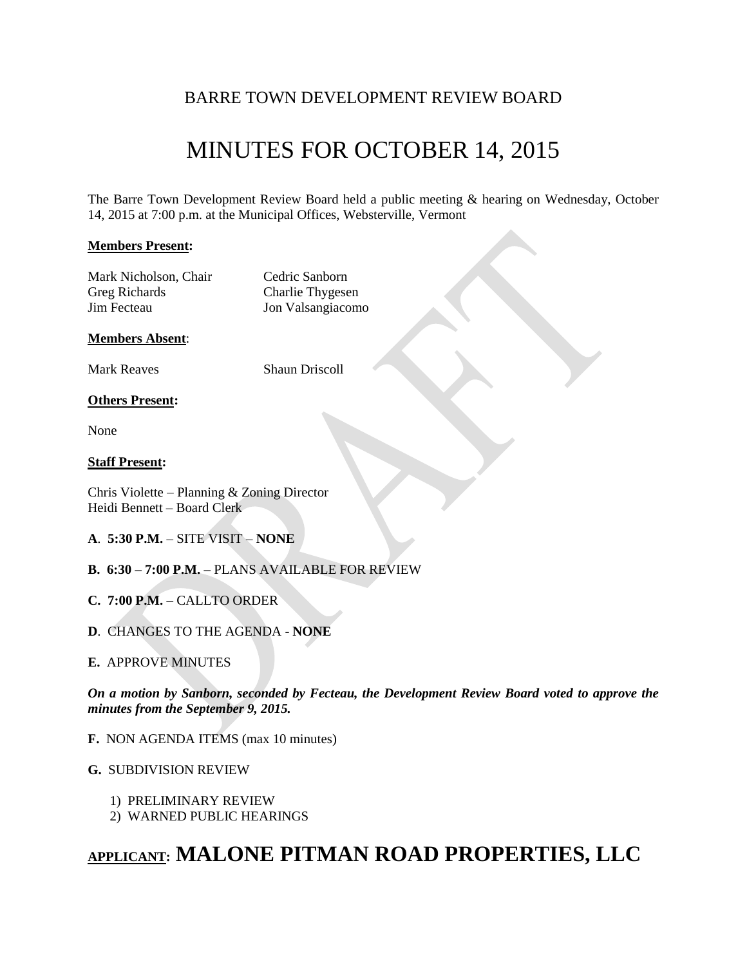## BARRE TOWN DEVELOPMENT REVIEW BOARD

# MINUTES FOR OCTOBER 14, 2015

The Barre Town Development Review Board held a public meeting & hearing on Wednesday, October 14, 2015 at 7:00 p.m. at the Municipal Offices, Websterville, Vermont

## **Members Present:**

Mark Nicholson, Chair Cedric Sanborn Greg Richards Charlie Thygesen Jim Fecteau Jon Valsangiacomo

## **Members Absent**:

Mark Reaves Shaun Driscoll

## **Others Present:**

None

## **Staff Present:**

Chris Violette – Planning & Zoning Director Heidi Bennett – Board Clerk

- **A**. **5:30 P.M.** SITE VISIT **NONE**
- **B. 6:30 – 7:00 P.M. –** PLANS AVAILABLE FOR REVIEW
- **C. 7:00 P.M. –** CALLTO ORDER
- **D**. CHANGES TO THE AGENDA **NONE**

## **E.** APPROVE MINUTES

*On a motion by Sanborn, seconded by Fecteau, the Development Review Board voted to approve the minutes from the September 9, 2015.*

**F.** NON AGENDA ITEMS (max 10 minutes)

## **G.** SUBDIVISION REVIEW

- 1) PRELIMINARY REVIEW
- 2) WARNED PUBLIC HEARINGS

## **APPLICANT: MALONE PITMAN ROAD PROPERTIES, LLC**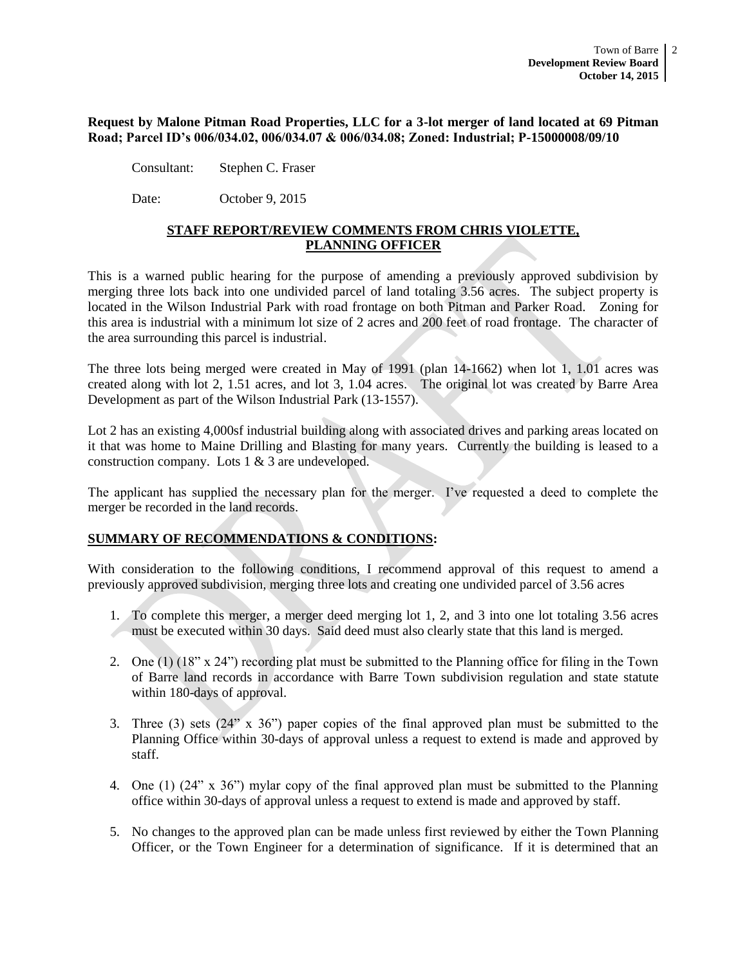#### **Request by Malone Pitman Road Properties, LLC for a 3-lot merger of land located at 69 Pitman Road; Parcel ID's 006/034.02, 006/034.07 & 006/034.08; Zoned: Industrial; P-15000008/09/10**

Consultant: Stephen C. Fraser

Date: October 9, 2015

## **STAFF REPORT/REVIEW COMMENTS FROM CHRIS VIOLETTE, PLANNING OFFICER**

This is a warned public hearing for the purpose of amending a previously approved subdivision by merging three lots back into one undivided parcel of land totaling 3.56 acres. The subject property is located in the Wilson Industrial Park with road frontage on both Pitman and Parker Road. Zoning for this area is industrial with a minimum lot size of 2 acres and 200 feet of road frontage. The character of the area surrounding this parcel is industrial.

The three lots being merged were created in May of 1991 (plan 14-1662) when lot 1, 1.01 acres was created along with lot 2, 1.51 acres, and lot 3, 1.04 acres. The original lot was created by Barre Area Development as part of the Wilson Industrial Park (13-1557).

Lot 2 has an existing 4,000sf industrial building along with associated drives and parking areas located on it that was home to Maine Drilling and Blasting for many years. Currently the building is leased to a construction company. Lots 1 & 3 are undeveloped.

The applicant has supplied the necessary plan for the merger. I've requested a deed to complete the merger be recorded in the land records.

## **SUMMARY OF RECOMMENDATIONS & CONDITIONS:**

With consideration to the following conditions, I recommend approval of this request to amend a previously approved subdivision, merging three lots and creating one undivided parcel of 3.56 acres

- 1. To complete this merger, a merger deed merging lot 1, 2, and 3 into one lot totaling 3.56 acres must be executed within 30 days. Said deed must also clearly state that this land is merged.
- 2. One (1) (18" x 24") recording plat must be submitted to the Planning office for filing in the Town of Barre land records in accordance with Barre Town subdivision regulation and state statute within 180-days of approval.
- 3. Three (3) sets (24" x 36") paper copies of the final approved plan must be submitted to the Planning Office within 30-days of approval unless a request to extend is made and approved by staff.
- 4. One (1) (24" x 36") mylar copy of the final approved plan must be submitted to the Planning office within 30-days of approval unless a request to extend is made and approved by staff.
- 5. No changes to the approved plan can be made unless first reviewed by either the Town Planning Officer, or the Town Engineer for a determination of significance. If it is determined that an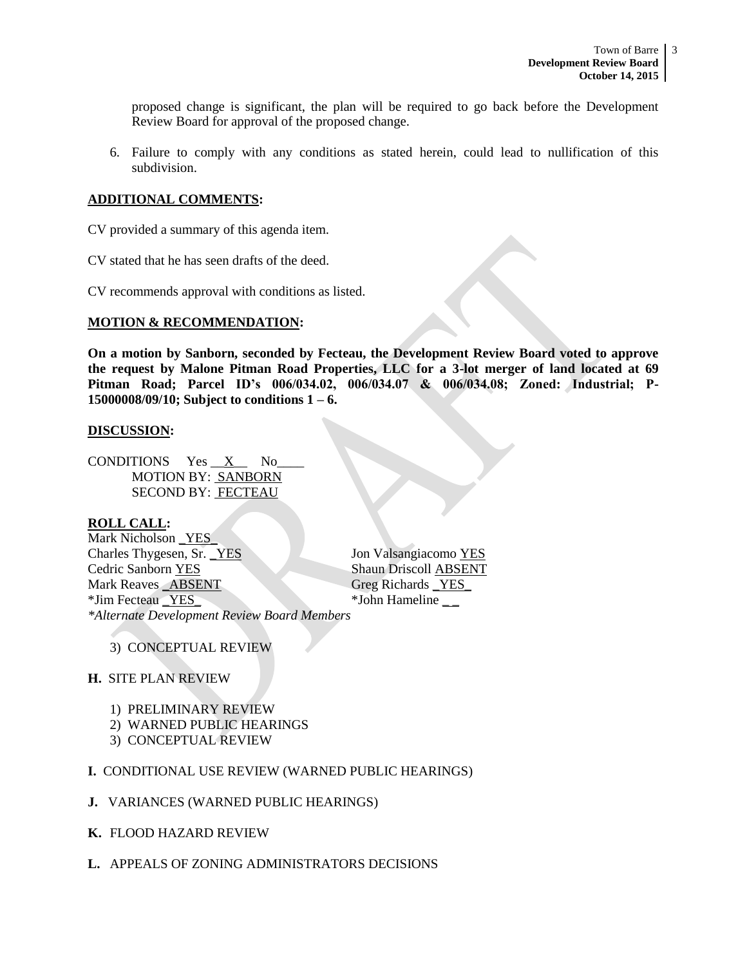proposed change is significant, the plan will be required to go back before the Development Review Board for approval of the proposed change.

6. Failure to comply with any conditions as stated herein, could lead to nullification of this subdivision.

#### **ADDITIONAL COMMENTS:**

CV provided a summary of this agenda item.

CV stated that he has seen drafts of the deed.

CV recommends approval with conditions as listed.

#### **MOTION & RECOMMENDATION:**

**On a motion by Sanborn, seconded by Fecteau, the Development Review Board voted to approve the request by Malone Pitman Road Properties, LLC for a 3-lot merger of land located at 69 Pitman Road; Parcel ID's 006/034.02, 006/034.07 & 006/034.08; Zoned: Industrial; P-15000008/09/10; Subject to conditions 1 – 6.** 

#### **DISCUSSION:**

CONDITIONS  $Yes \_X$  No MOTION BY: SANBORN SECOND BY: FECTEAU

## **ROLL CALL:**

Mark Nicholson YES Charles Thygesen, Sr. YES Jon Valsangiacomo YES **Cedric Sanborn YES** Shaun Driscoll ABSENT Mark Reaves ABSENT Greg Richards YES \*Jim Fecteau \_YES\_ \*John Hameline \_ \_ *\*Alternate Development Review Board Members*

## 3) CONCEPTUAL REVIEW

## **H.** SITE PLAN REVIEW

- 1) PRELIMINARY REVIEW
- 2) WARNED PUBLIC HEARINGS
- 3) CONCEPTUAL REVIEW

## **I.** CONDITIONAL USE REVIEW (WARNED PUBLIC HEARINGS)

- **J.** VARIANCES (WARNED PUBLIC HEARINGS)
- **K.** FLOOD HAZARD REVIEW
- **L.** APPEALS OF ZONING ADMINISTRATORS DECISIONS